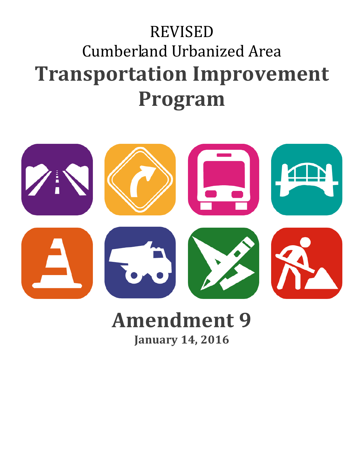# REVISED Cumberland Urbanized Area **Transportation Improvement Program**



## **Amendment 9 January 14, 2016**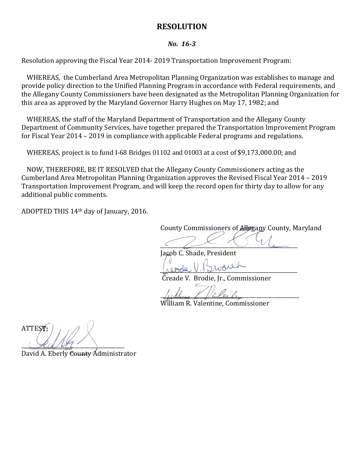#### **RESOLUTION**

#### *No. 16-3*

Resolution approving the Fiscal Year 2014- 2019 Transportation Improvement Program:

WHEREAS, the Cumberland Area Metropolitan Planning Organization was establishes to manage and provide policy direction to the Unified Planning Program in accordance with Federal requirements, and the Allegany County Commissioners have been designated as the Metropolitan Planning Organization for this area as approved by the Maryland Governor Harry Hughes on May 17, 1982; and

WHEREAS, the staff of the Maryland Department of Transportation and the Allegany County Department of Community Services, have together prepared the Transportation Improvement Program for Fiscal Year 2014 – 2019 in compliance with applicable Federal programs and regulations.

WHEREAS, project is to fund I-68 Bridges 01102 and 01003 at a cost of \$9,173,000.00; and

NOW, THEREFORE, BE IT RESOLVED that the Allegany County Commissioners acting as the Cumberland Area Metropolitan Planning Organization approves the Revised Fiscal Year 2014 – 2019 Transportation Improvement Program, and will keep the record open for thirty day to allow for any additional public comments.

ADOPTED THIS 14th day of January, 2016.

County Commissioners of Allegany County, Maryland

 $\frac{1}{2}$ 

Jacob C. Shade, President

*\_\_\_\_\_\_\_\_\_\_\_\_\_\_\_\_\_\_\_\_\_\_\_\_\_\_\_\_\_\_\_\_\_\_\_\_\_\_\_\_\_\_\_\_\_\_\_\_\_\_\_\_*

Creade V. Brodie, Jr., Commissioner

 $\mu$ 

William R. Valentine, Commissioner

ATTEST:  $\chi_{\mathcal{U}}$ 

David A. Eberly County Administrator